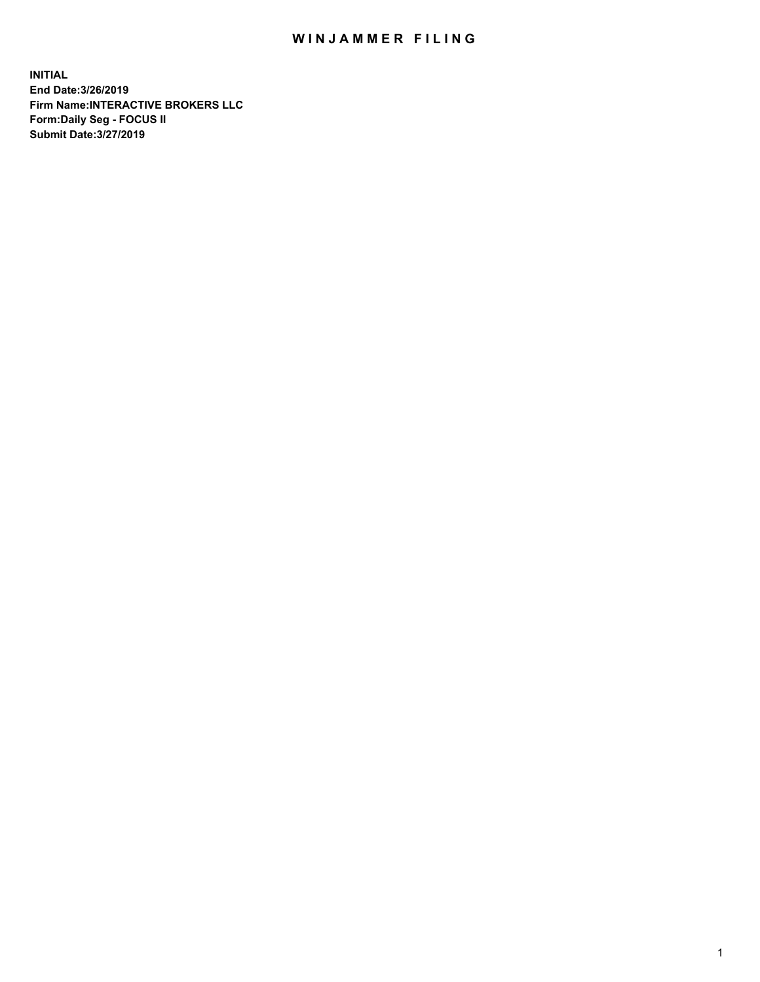## WIN JAMMER FILING

**INITIAL End Date:3/26/2019 Firm Name:INTERACTIVE BROKERS LLC Form:Daily Seg - FOCUS II Submit Date:3/27/2019**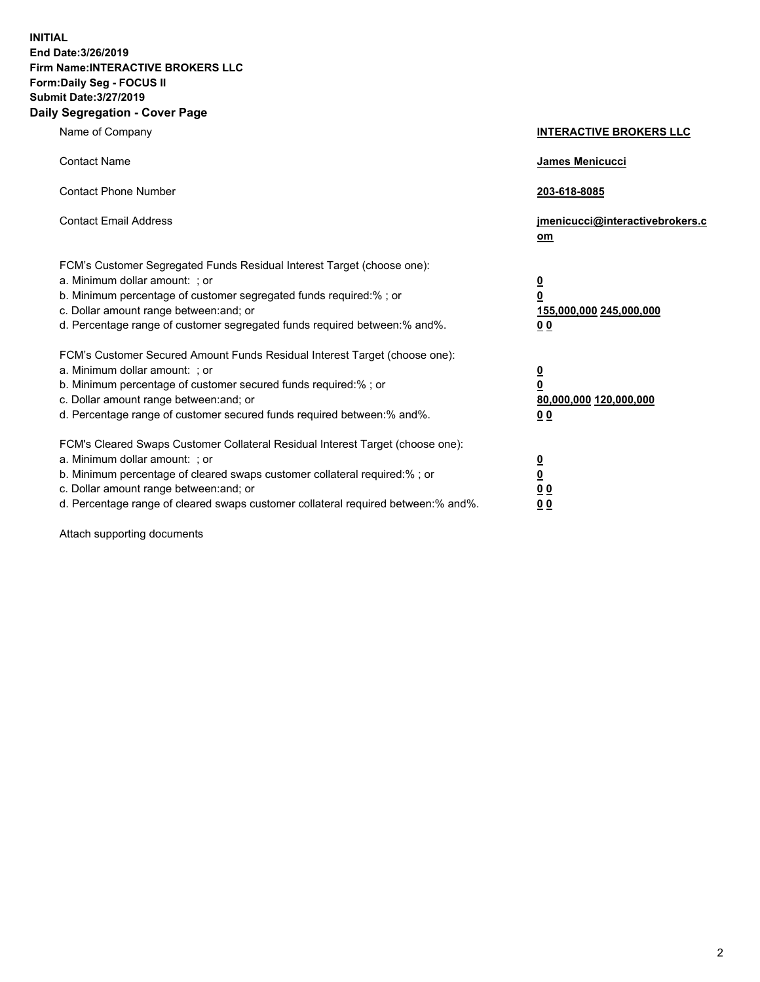**INITIAL End Date:3/26/2019 Firm Name:INTERACTIVE BROKERS LLC Form:Daily Seg - FOCUS II Submit Date:3/27/2019 Daily Segregation - Cover Page**

| Name of Company                                                                                                                                                                                                                                                                                                                | <b>INTERACTIVE BROKERS LLC</b>                                                   |
|--------------------------------------------------------------------------------------------------------------------------------------------------------------------------------------------------------------------------------------------------------------------------------------------------------------------------------|----------------------------------------------------------------------------------|
| <b>Contact Name</b>                                                                                                                                                                                                                                                                                                            | James Menicucci                                                                  |
| <b>Contact Phone Number</b>                                                                                                                                                                                                                                                                                                    | 203-618-8085                                                                     |
| <b>Contact Email Address</b>                                                                                                                                                                                                                                                                                                   | jmenicucci@interactivebrokers.c<br>om                                            |
| FCM's Customer Segregated Funds Residual Interest Target (choose one):<br>a. Minimum dollar amount: ; or<br>b. Minimum percentage of customer segregated funds required:% ; or<br>c. Dollar amount range between: and; or<br>d. Percentage range of customer segregated funds required between:% and%.                         | <u>0</u><br>$\overline{\mathbf{0}}$<br>155,000,000 245,000,000<br>0 <sub>0</sub> |
| FCM's Customer Secured Amount Funds Residual Interest Target (choose one):<br>a. Minimum dollar amount: ; or<br>b. Minimum percentage of customer secured funds required:% ; or<br>c. Dollar amount range between: and; or<br>d. Percentage range of customer secured funds required between:% and%.                           | <u>0</u><br>$\overline{\mathbf{0}}$<br>80,000,000 120,000,000<br>0 <sub>0</sub>  |
| FCM's Cleared Swaps Customer Collateral Residual Interest Target (choose one):<br>a. Minimum dollar amount: ; or<br>b. Minimum percentage of cleared swaps customer collateral required:% ; or<br>c. Dollar amount range between: and; or<br>d. Percentage range of cleared swaps customer collateral required between:% and%. | <u>0</u><br>$\underline{\mathbf{0}}$<br>0 <sub>0</sub><br>0 <sub>0</sub>         |

Attach supporting documents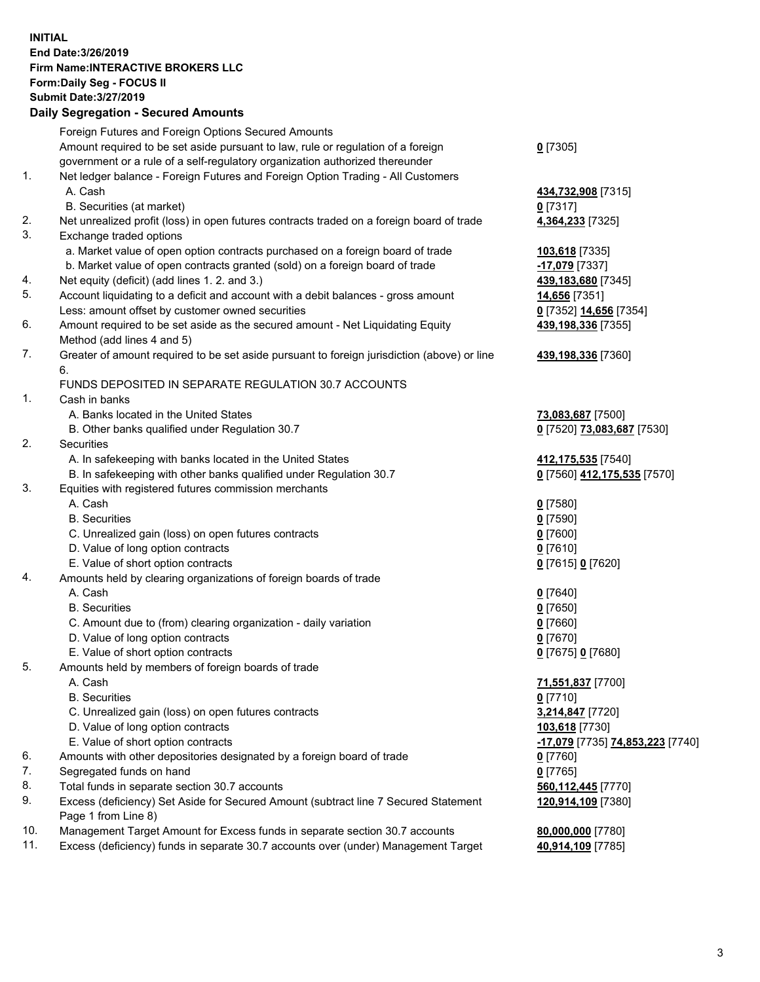## **INITIAL End Date:3/26/2019 Firm Name:INTERACTIVE BROKERS LLC Form:Daily Seg - FOCUS II Submit Date:3/27/2019 Daily Segregation - Secured Amounts**

|                | Dany Ocgregation - Oceaned Anioante                                                               |                                               |
|----------------|---------------------------------------------------------------------------------------------------|-----------------------------------------------|
|                | Foreign Futures and Foreign Options Secured Amounts                                               |                                               |
|                | Amount required to be set aside pursuant to law, rule or regulation of a foreign                  | $0$ [7305]                                    |
|                | government or a rule of a self-regulatory organization authorized thereunder                      |                                               |
| 1.             | Net ledger balance - Foreign Futures and Foreign Option Trading - All Customers                   |                                               |
|                | A. Cash                                                                                           | 434,732,908 [7315]                            |
|                | B. Securities (at market)                                                                         | $0$ [7317]                                    |
| 2.             | Net unrealized profit (loss) in open futures contracts traded on a foreign board of trade         | 4,364,233 [7325]                              |
| 3.             | Exchange traded options                                                                           |                                               |
|                | a. Market value of open option contracts purchased on a foreign board of trade                    | 103,618 [7335]                                |
|                | b. Market value of open contracts granted (sold) on a foreign board of trade                      | -17,079 [7337]                                |
| 4.             | Net equity (deficit) (add lines 1. 2. and 3.)                                                     | 439,183,680 [7345]                            |
| 5.             | Account liquidating to a deficit and account with a debit balances - gross amount                 | 14,656 [7351]                                 |
|                | Less: amount offset by customer owned securities                                                  | 0 [7352] 14,656 [7354]                        |
| 6.             | Amount required to be set aside as the secured amount - Net Liquidating Equity                    | 439,198,336 [7355]                            |
|                | Method (add lines 4 and 5)                                                                        |                                               |
| 7.             | Greater of amount required to be set aside pursuant to foreign jurisdiction (above) or line<br>6. | 439,198,336 [7360]                            |
|                | FUNDS DEPOSITED IN SEPARATE REGULATION 30.7 ACCOUNTS                                              |                                               |
| $\mathbf{1}$ . | Cash in banks                                                                                     |                                               |
|                | A. Banks located in the United States                                                             | 73,083,687 [7500]                             |
|                | B. Other banks qualified under Regulation 30.7                                                    | 0 [7520] 73,083,687 [7530]                    |
| 2.             | Securities                                                                                        |                                               |
|                | A. In safekeeping with banks located in the United States                                         | 412, 175, 535 [7540]                          |
|                | B. In safekeeping with other banks qualified under Regulation 30.7                                | 0 [7560] 412,175,535 [7570]                   |
| 3.             | Equities with registered futures commission merchants                                             |                                               |
|                | A. Cash                                                                                           | $0$ [7580]                                    |
|                | <b>B.</b> Securities                                                                              | $0$ [7590]                                    |
|                | C. Unrealized gain (loss) on open futures contracts                                               | $0$ [7600]                                    |
|                | D. Value of long option contracts                                                                 | $0$ [7610]                                    |
|                | E. Value of short option contracts                                                                | 0 [7615] 0 [7620]                             |
| 4.             | Amounts held by clearing organizations of foreign boards of trade                                 |                                               |
|                | A. Cash                                                                                           | $0$ [7640]                                    |
|                | <b>B.</b> Securities                                                                              | $0$ [7650]                                    |
|                | C. Amount due to (from) clearing organization - daily variation                                   | $0$ [7660]                                    |
|                | D. Value of long option contracts                                                                 | $0$ [7670]                                    |
|                | E. Value of short option contracts                                                                | 0 [7675] 0 [7680]                             |
| 5.             | Amounts held by members of foreign boards of trade                                                |                                               |
|                | A. Cash                                                                                           | 71,551,837 [7700]                             |
|                | <b>B.</b> Securities                                                                              | $0$ [7710]                                    |
|                | C. Unrealized gain (loss) on open futures contracts                                               | 3,214,847 [7720]                              |
|                | D. Value of long option contracts                                                                 | 103,618 [7730]                                |
|                | E. Value of short option contracts                                                                | <mark>-17,079</mark> [7735] 74,853,223 [7740] |
| 6.             | Amounts with other depositories designated by a foreign board of trade                            | 0 [7760]                                      |
| 7.             | Segregated funds on hand                                                                          | $0$ [7765]                                    |
| 8.             | Total funds in separate section 30.7 accounts                                                     | 560,112,445 [7770]                            |
| 9.             | Excess (deficiency) Set Aside for Secured Amount (subtract line 7 Secured Statement               | 120,914,109 [7380]                            |
|                | Page 1 from Line 8)                                                                               |                                               |
| 10.            | Management Target Amount for Excess funds in separate section 30.7 accounts                       | 80,000,000 [7780]                             |
| 11.            | Excess (deficiency) funds in separate 30.7 accounts over (under) Management Target                | 40,914,109 [7785]                             |
|                |                                                                                                   |                                               |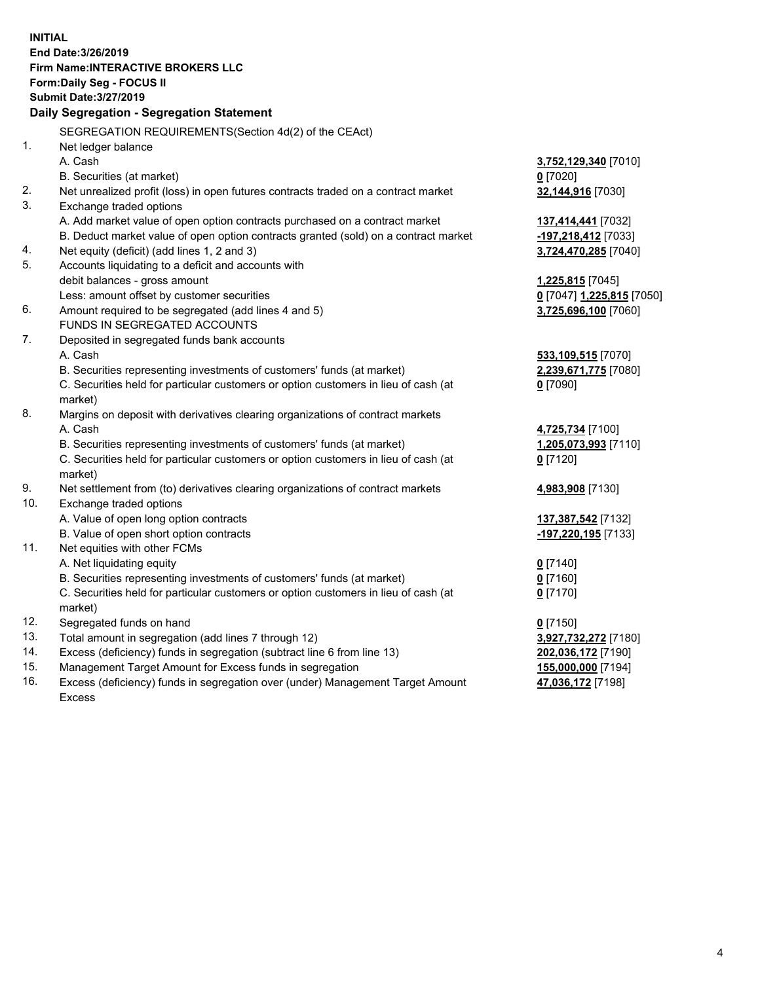**INITIAL End Date:3/26/2019 Firm Name:INTERACTIVE BROKERS LLC Form:Daily Seg - FOCUS II Submit Date:3/27/2019 Daily Segregation - Segregation Statement** SEGREGATION REQUIREMENTS(Section 4d(2) of the CEAct) 1. Net ledger balance A. Cash **3,752,129,340** [7010] B. Securities (at market) **0** [7020] 2. Net unrealized profit (loss) in open futures contracts traded on a contract market **32,144,916** [7030] 3. Exchange traded options A. Add market value of open option contracts purchased on a contract market **137,414,441** [7032] B. Deduct market value of open option contracts granted (sold) on a contract market **-197,218,412** [7033] 4. Net equity (deficit) (add lines 1, 2 and 3) **3,724,470,285** [7040] 5. Accounts liquidating to a deficit and accounts with debit balances - gross amount **1,225,815** [7045] Less: amount offset by customer securities **0** [7047] **1,225,815** [7050] 6. Amount required to be segregated (add lines 4 and 5) **3,725,696,100** [7060] FUNDS IN SEGREGATED ACCOUNTS 7. Deposited in segregated funds bank accounts A. Cash **533,109,515** [7070] B. Securities representing investments of customers' funds (at market) **2,239,671,775** [7080] C. Securities held for particular customers or option customers in lieu of cash (at market) **0** [7090] 8. Margins on deposit with derivatives clearing organizations of contract markets A. Cash **4,725,734** [7100] B. Securities representing investments of customers' funds (at market) **1,205,073,993** [7110] C. Securities held for particular customers or option customers in lieu of cash (at market) **0** [7120] 9. Net settlement from (to) derivatives clearing organizations of contract markets **4,983,908** [7130] 10. Exchange traded options A. Value of open long option contracts **137,387,542** [7132] B. Value of open short option contracts **-197,220,195** [7133] 11. Net equities with other FCMs A. Net liquidating equity **0** [7140] B. Securities representing investments of customers' funds (at market) **0** [7160] C. Securities held for particular customers or option customers in lieu of cash (at market) **0** [7170] 12. Segregated funds on hand **0** [7150] 13. Total amount in segregation (add lines 7 through 12) **3,927,732,272** [7180] 14. Excess (deficiency) funds in segregation (subtract line 6 from line 13) **202,036,172** [7190] 15. Management Target Amount for Excess funds in segregation **155,000,000** [7194]

16. Excess (deficiency) funds in segregation over (under) Management Target Amount Excess

**47,036,172** [7198]